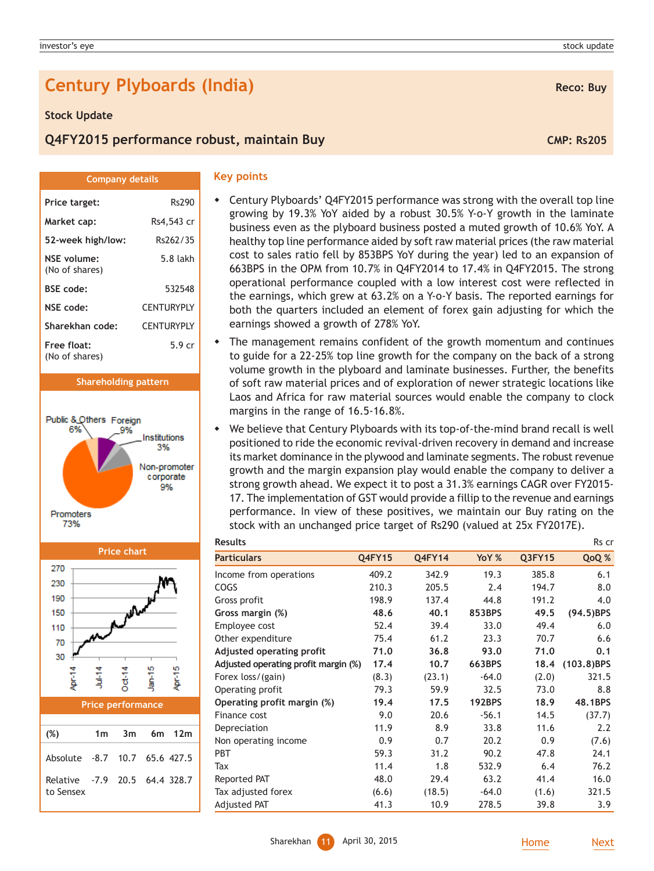# **Century Plyboards (India) Reco: Buy Reco: Buy**

#### **Stock Update**

(No of shares)

(No of shares)

Promoters 73%

270 230 190

> > r<br>P

Public & Others Foreign 6%

## **Q4FY2015 performance robust, maintain Buy CMP: RS205 CMP: Rs205**

**Price target:** Rs290 **Market cap:** Rs4,543 cr **Company details**

**52-week high/low:** Rs262/35 **NSE volume:** 5.8 lakh

**BSE code:** 532548 **NSE code:** CENTURYPLY **Sharekhan code:** CENTURYPLY **Free float:** 5.9 cr

**Shareholding pattern**

9%

Institutions 3% Non-promoter corporate 9%

| ٠ |  |
|---|--|

- Century Plyboards' Q4FY2015 performance was strong with the overall top line growing by 19.3% YoY aided by a robust 30.5% Y-o-Y growth in the laminate business even as the plyboard business posted a muted growth of 10.6% YoY. A healthy top line performance aided by soft raw material prices (the raw material cost to sales ratio fell by 853BPS YoY during the year) led to an expansion of 663BPS in the OPM from 10.7% in Q4FY2014 to 17.4% in Q4FY2015. The strong operational performance coupled with a low interest cost were reflected in the earnings, which grew at 63.2% on a Y-o-Y basis. The reported earnings for both the quarters included an element of forex gain adjusting for which the earnings showed a growth of 278% YoY.
- The management remains confident of the growth momentum and continues to guide for a 22-25% top line growth for the company on the back of a strong volume growth in the plyboard and laminate businesses. Further, the benefits of soft raw material prices and of exploration of newer strategic locations like Laos and Africa for raw material sources would enable the company to clock margins in the range of 16.5-16.8%.
- We believe that Century Plyboards with its top-of-the-mind brand recall is well positioned to ride the economic revival-driven recovery in demand and increase its market dominance in the plywood and laminate segments. The robust revenue growth and the margin expansion play would enable the company to deliver a strong growth ahead. We expect it to post a 31.3% earnings CAGR over FY2015- 17. The implementation of GST would provide a fillip to the revenue and earnings performance. In view of these positives, we maintain our Buy rating on the stock with an unchanged price target of Rs290 (valued at 25x FY2017E).

| <b>Results</b>                       |               |               |               |        | Rs cr         |
|--------------------------------------|---------------|---------------|---------------|--------|---------------|
| <b>Particulars</b>                   | <b>Q4FY15</b> | <b>Q4FY14</b> | YoY %         | Q3FY15 | QoQ %         |
| Income from operations               | 409.2         | 342.9         | 19.3          | 385.8  | 6.1           |
| COGS                                 | 210.3         | 205.5         | 2.4           | 194.7  | 8.0           |
| Gross profit                         | 198.9         | 137.4         | 44.8          | 191.2  | 4.0           |
| Gross margin (%)                     | 48.6          | 40.1          | 853BPS        | 49.5   | $(94.5)$ BPS  |
| Employee cost                        | 52.4          | 39.4          | 33.0          | 49.4   | 6.0           |
| Other expenditure                    | 75.4          | 61.2          | 23.3          | 70.7   | 6.6           |
| Adjusted operating profit            | 71.0          | 36.8          | 93.0          | 71.0   | 0.1           |
| Adjusted operating profit margin (%) | 17.4          | 10.7          | 663BPS        | 18.4   | $(103.8)$ BPS |
| Forex loss/(gain)                    | (8.3)         | (23.1)        | $-64.0$       | (2.0)  | 321.5         |
| Operating profit                     | 79.3          | 59.9          | 32.5          | 73.0   | 8.8           |
| Operating profit margin (%)          | 19.4          | 17.5          | <b>192BPS</b> | 18.9   | 48.1BPS       |
| Finance cost                         | 9.0           | 20.6          | $-56.1$       | 14.5   | (37.7)        |
| Depreciation                         | 11.9          | 8.9           | 33.8          | 11.6   | 2.2           |
| Non operating income                 | 0.9           | 0.7           | 20.2          | 0.9    | (7.6)         |
| <b>PBT</b>                           | 59.3          | 31.2          | 90.2          | 47.8   | 24.1          |
| Tax                                  | 11.4          | 1.8           | 532.9         | 6.4    | 76.2          |
| Reported PAT                         | 48.0          | 29.4          | 63.2          | 41.4   | 16.0          |
| Tax adjusted forex                   | (6.6)         | (18.5)        | $-64.0$       | (1.6)  | 321.5         |
| Adjusted PAT                         | 41.3          | 10.9          | 278.5         | 39.8   | 3.9           |

## **Price performance**

돌

 $\frac{4}{10}$ 

**Price chart**

А.

ю

į

ю Ē

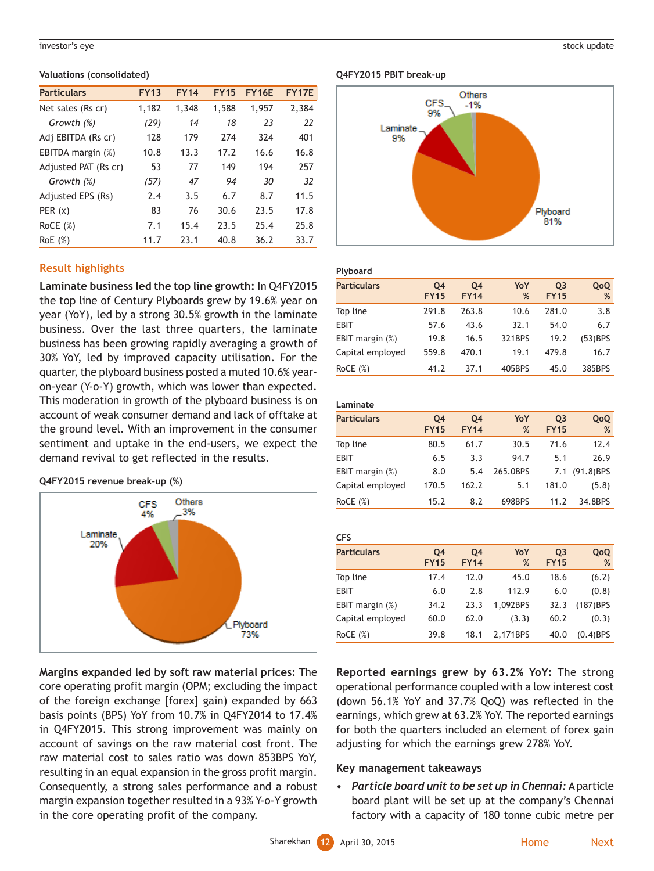#### investor's eye stock update the stock update of the stock update stock update stock update stock update stock update

#### **Valuations (consolidated)**

| <b>Particulars</b>   | <b>FY13</b> | <b>FY14</b> | <b>FY15</b> | <b>FY16E</b> | <b>FY17E</b> |
|----------------------|-------------|-------------|-------------|--------------|--------------|
| Net sales (Rs cr)    | 1,182       | 1,348       | 1,588       | 1,957        | 2,384        |
| Growth (%)           | (29)        | 14          | 18          | 23           | 22           |
| Adj EBITDA (Rs cr)   | 128         | 179         | 274         | 324          | 401          |
| EBITDA margin (%)    | 10.8        | 13.3        | 17.2        | 16.6         | 16.8         |
| Adjusted PAT (Rs cr) | 53          | 77          | 149         | 194          | 257          |
| Growth (%)           | (57)        | 47          | 94          | 30           | 32           |
| Adjusted EPS (Rs)    | 2.4         | 3.5         | 6.7         | 8.7          | 11.5         |
| PER(x)               | 83          | 76          | 30.6        | 23.5         | 17.8         |
| RoCE $(\%)$          | 7.1         | 15.4        | 23.5        | 25.4         | 25.8         |
| RoE(%)               | 11.7        | 23.1        | 40.8        | 36.2         | 33.7         |

## **Result highlights**

**Laminate business led the top line growth:** In Q4FY2015 the top line of Century Plyboards grew by 19.6% year on year (YoY), led by a strong 30.5% growth in the laminate business. Over the last three quarters, the laminate business has been growing rapidly averaging a growth of 30% YoY, led by improved capacity utilisation. For the quarter, the plyboard business posted a muted 10.6% yearon-year (Y-o-Y) growth, which was lower than expected. This moderation in growth of the plyboard business is on account of weak consumer demand and lack of offtake at the ground level. With an improvement in the consumer sentiment and uptake in the end-users, we expect the demand revival to get reflected in the results.

#### **Q4FY2015 revenue break-up (%)**



**Margins expanded led by soft raw material prices:** The core operating profit margin (OPM; excluding the impact of the foreign exchange [forex] gain) expanded by 663 basis points (BPS) YoY from 10.7% in Q4FY2014 to 17.4% in Q4FY2015. This strong improvement was mainly on account of savings on the raw material cost front. The raw material cost to sales ratio was down 853BPS YoY, resulting in an equal expansion in the gross profit margin. Consequently, a strong sales performance and a robust margin expansion together resulted in a 93% Y-o-Y growth in the core operating profit of the company.

#### **Q4FY2015 PBIT break-up**



### **Plyboard**

| <b>Particulars</b> | Q4<br><b>FY15</b> | Q4<br><b>FY14</b> | YoY<br>% | 03<br><b>FY15</b> | QoQ<br>%   |
|--------------------|-------------------|-------------------|----------|-------------------|------------|
| Top line           | 291.8             | 263.8             | 10.6     | 281.0             | 3.8        |
| <b>EBIT</b>        | 57.6              | 43.6              | 32.1     | 54.0              | 6.7        |
| EBIT margin $(\%)$ | 19.8              | 16.5              | 321BPS   | 19.2              | $(53)$ BPS |
| Capital employed   | 559.8             | 470.1             | 19.1     | 479.8             | 16.7       |
| ROCE(%)            | 41.2              | 37.1              | 405BPS   | 45.0              | 385BPS     |

| Laminate           |                   |                   |          |                               |               |  |
|--------------------|-------------------|-------------------|----------|-------------------------------|---------------|--|
| <b>Particulars</b> | Q4<br><b>FY15</b> | Q4<br><b>FY14</b> | YoY<br>% | Q <sub>3</sub><br><b>FY15</b> | QoQ<br>%      |  |
| Top line           | 80.5              | 61.7              | 30.5     | 71.6                          | 12.4          |  |
| <b>EBIT</b>        | 6.5               | 3.3               | 94.7     | 5.1                           | 26.9          |  |
| EBIT margin $(\%)$ | 8.0               | 5.4               | 265.0BPS |                               | 7.1 (91.8)BPS |  |
| Capital employed   | 170.5             | 162.2             | 5.1      | 181.0                         | (5.8)         |  |
| RoCE $(\%)$        | 15.2              | 8.2               | 698BPS   | 11.2                          | 34.8BPS       |  |

| <b>CFS</b>         |                   |                   |          |                   |             |
|--------------------|-------------------|-------------------|----------|-------------------|-------------|
| <b>Particulars</b> | Q4<br><b>FY15</b> | Q4<br><b>FY14</b> | YoY<br>% | 03<br><b>FY15</b> | QoQ<br>%    |
| Top line           | 17.4              | 12.0              | 45.0     | 18.6              | (6.2)       |
| <b>EBIT</b>        | 6.0               | 2.8               | 112.9    | 6.0               | (0.8)       |
| EBIT margin $(\%)$ | 34.2              | 23.3              | 1.092BPS | 32.3              | $(187)$ BPS |
| Capital employed   | 60.0              | 62.0              | (3.3)    | 60.2              | (0.3)       |
| RoCE $(\%)$        | 39.8              | 18.1              | 2.171BPS | 40.0              | $(0.4)$ BPS |

**Reported earnings grew by 63.2% YoY:** The strong operational performance coupled with a low interest cost (down 56.1% YoY and 37.7% QoQ) was reflected in the earnings, which grew at 63.2% YoY. The reported earnings for both the quarters included an element of forex gain adjusting for which the earnings grew 278% YoY.

### **Key management takeaways**

• *Particle board unit to be set up in Chennai:* A particle board plant will be set up at the company's Chennai factory with a capacity of 180 tonne cubic metre per